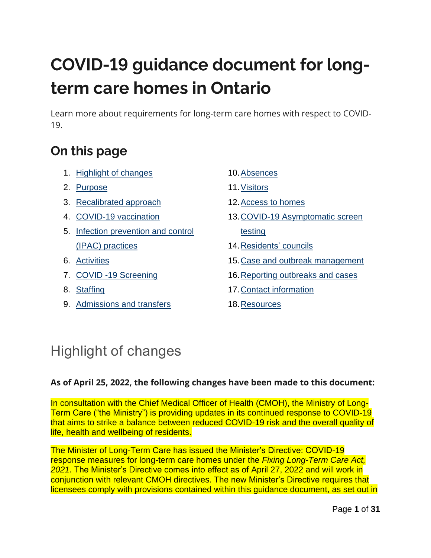# **COVID-19 guidance document for long**term care homes in Ontario

Learn more about requirements for long-term care homes with respect to COVID-19.

## On this page

- 1. [Highlight](#page-0-0) of changes
- 2. Purpose
- 3. [Recalibrated approach](#page-2-0)
- 4. COVID-19 [vaccination](#page-3-0)
- 5. [Infection prevention and control](#page-6-0)  (IPAC) [practices](#page-6-0)
- 6. [Activities](#page-9-0)
- 7. COVID -19 Screening
- 8. [Staffing](#page-12-0)
- 9. [Admissions and transfers](#page-14-0)
- 10[.Absences](#page-14-1)
- 11.Visitors
- 12. Access to homes
- 13.COVID-19 Asymptomatic screen testing
- 14.Residents' councils
- 15[.Case and outbreak management](#page-26-0)
- 16[.Reporting outbreaks and cases](#page-27-0)
- 17[.Contact information](#page-28-0)
- 18[.Resources](#page-28-1)

## <span id="page-0-0"></span>Highlight of changes

#### **As of April 25, 2022, the following changes have been made to this document:**

In consultation with the Chief Medical Officer of Health (CMOH), the Ministry of Long-Term Care ("the Ministry") is providing updates in its continued response to COVID-19 that aims to strike a balance between reduced COVID-19 risk and the overall quality of life, health and wellbeing of residents.

The Minister of Long-Term Care has issued the Minister's Directive: COVID-19 response measures for long-term care homes under the *Fixing Long-Term Care Act, 2021*. The Minister's Directive comes into effect as of April 27, 2022 and will work in conjunction with relevant CMOH directives. The new Minister's Directive requires that licensees comply with provisions contained within this guidance document, as set out in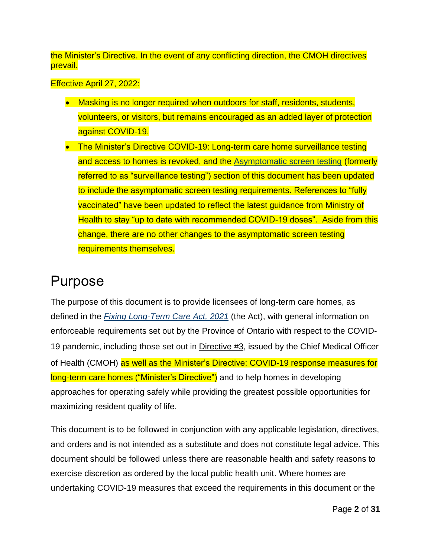the Minister's Directive. In the event of any conflicting direction, the CMOH directives prevail.

Effective April 27, 2022:

- Masking is no longer required when outdoors for staff, residents, students, volunteers, or visitors, but remains encouraged as an added layer of protection against COVID-19.
- The Minister's Directive COVID-19: Long-term care home surveillance testing and access to homes is revoked, and the Asymptomatic screen testing (formerly referred to as "surveillance testing") section of this document has been updated to include the asymptomatic screen testing requirements. References to "fully vaccinated" have been updated to reflect the latest guidance from Ministry of Health to stay "up to date with recommended COVID-19 doses". Aside from this change, there are no other changes to the asymptomatic screen testing requirements themselves.

## Purpose

The purpose of this document is to provide licensees of long-term care homes, as defined in the *[Fixing Long-Term Care Act,](https://www.ontario.ca/laws/statute/21f39) 2021* (the Act), with general information on enforceable requirements set out by the Province of Ontario with respect to the COVID-19 pandemic, including those set out in [Directive](https://www.health.gov.on.ca/en/pro/programs/publichealth/coronavirus/docs/directives/LTCH_HPPA.pdf) #3, issued by the Chief Medical Officer of Health (CMOH) as well as the Minister's Directive: COVID-19 response measures for long-term care homes ("Minister's Directive") and to help homes in developing approaches for operating safely while providing the greatest possible opportunities for maximizing resident quality of life.

This document is to be followed in conjunction with any applicable legislation, directives, and orders and is not intended as a substitute and does not constitute legal advice. This document should be followed unless there are reasonable health and safety reasons to exercise discretion as ordered by the local public health unit. Where homes are undertaking COVID-19 measures that exceed the requirements in this document or the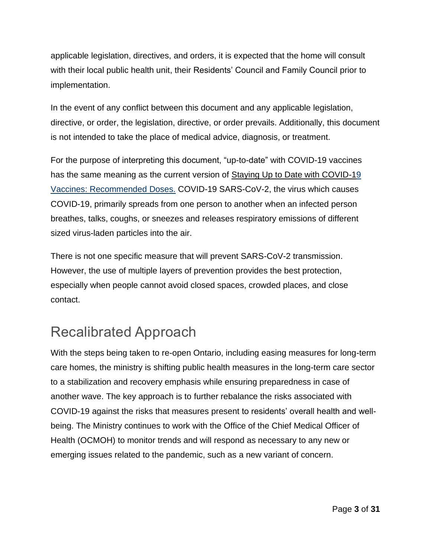applicable legislation, directives, and orders, it is expected that the home will consult with their local public health unit, their Residents' Council and Family Council prior to implementation.

In the event of any conflict between this document and any applicable legislation, directive, or order, the legislation, directive, or order prevails. Additionally, this document is not intended to take the place of medical advice, diagnosis, or treatment.

For the purpose of interpreting this document, "up-to-date" with COVID-19 vaccines has the same meaning as the current version of [Staying Up to Date with COVID-19](https://www.health.gov.on.ca/en/pro/programs/publichealth/coronavirus/docs/vaccine/COVID_19_vaccine_up_to_date.pdf) Vaccines: [Recommended](https://www.health.gov.on.ca/en/pro/programs/publichealth/coronavirus/docs/vaccine/COVID_19_vaccine_up_to_date.pdf) Doses. COVID-19 SARS-CoV-2, the virus which causes COVID-19, primarily spreads from one person to another when an infected person breathes, talks, coughs, or sneezes and releases respiratory emissions of different sized virus-laden particles into the air.

There is not one specific measure that will prevent SARS-CoV-2 transmission. However, the use of multiple layers of prevention provides the best protection, especially when people cannot avoid closed spaces, crowded places, and close contact.

## <span id="page-2-0"></span>Recalibrated Approach

With the steps being taken to re-open Ontario, including easing measures for long-term care homes, the ministry is shifting public health measures in the long-term care sector to a stabilization and recovery emphasis while ensuring preparedness in case of another wave. The key approach is to further rebalance the risks associated with COVID-19 against the risks that measures present to residents' overall health and wellbeing. The Ministry continues to work with the Office of the Chief Medical Officer of Health (OCMOH) to monitor trends and will respond as necessary to any new or emerging issues related to the pandemic, such as a new variant of concern.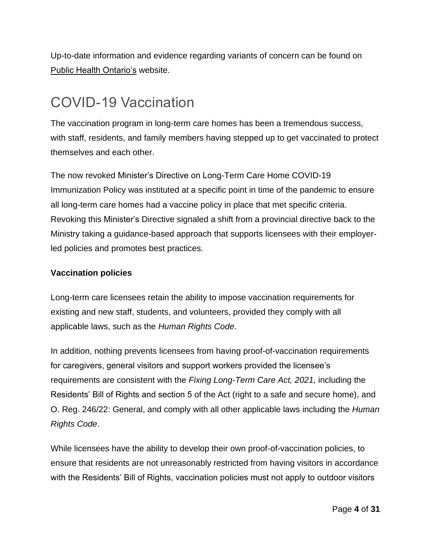Up-to-date information and evidence regarding variants of concern can be found on [Public Health Ontario's](https://www.publichealthontario.ca/en/diseases-and-conditions/infectious-diseases/respiratory-diseases/novel-coronavirus/variants) website.

## <span id="page-3-0"></span>COVID-19 Vaccination

The vaccination program in long-term care homes has been a tremendous success, with staff, residents, and family members having stepped up to get vaccinated to protect themselves and each other.

The now revoked Minister's Directive on Long-Term Care Home COVID-19 Immunization Policy was instituted at a specific point in time of the pandemic to ensure all long-term care homes had a vaccine policy in place that met specific criteria. Revoking this Minister's Directive signaled a shift from a provincial directive back to the Ministry taking a guidance-based approach that supports licensees with their employerled policies and promotes best practices.

#### **Vaccination policies**

Long-term care licensees retain the ability to impose vaccination requirements for existing and new staff, students, and volunteers, provided they comply with all applicable laws, such as the *Human Rights Code*.

In addition, nothing prevents licensees from having proof-of-vaccination requirements for caregivers, general visitors and support workers provided the licensee's requirements are consistent with the *Fixing Long-Term Care Act, 2021,* including the Residents' Bill of Rights and section 5 of the Act (right to a safe and secure home), and O. Reg. 246/22: General, and comply with all other applicable laws including the *Human Rights Code*.

While licensees have the ability to develop their own proof-of-vaccination policies, to ensure that residents are not unreasonably restricted from having visitors in accordance with the Residents' Bill of Rights, vaccination policies must not apply to outdoor visitors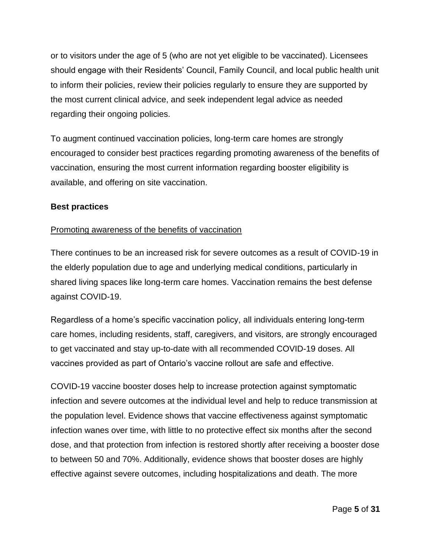or to visitors under the age of 5 (who are not yet eligible to be vaccinated). Licensees should engage with their Residents' Council, Family Council, and local public health unit to inform their policies, review their policies regularly to ensure they are supported by the most current clinical advice, and seek independent legal advice as needed regarding their ongoing policies.

To augment continued vaccination policies, long-term care homes are strongly encouraged to consider best practices regarding promoting awareness of the benefits of vaccination, ensuring the most current information regarding booster eligibility is available, and offering on site vaccination.

#### **Best practices**

#### Promoting awareness of the benefits of vaccination

There continues to be an increased risk for severe outcomes as a result of COVID-19 in the elderly population due to age and underlying medical conditions, particularly in shared living spaces like long-term care homes. Vaccination remains the best defense against COVID-19.

Regardless of a home's specific vaccination policy, all individuals entering long-term care homes, including residents, staff, caregivers, and visitors, are strongly encouraged to get vaccinated and stay up-to-date with all recommended COVID-19 doses. All vaccines provided as part of Ontario's vaccine rollout are safe and effective.

COVID-19 vaccine booster doses help to increase protection against symptomatic infection and severe outcomes at the individual level and help to reduce transmission at the population level. Evidence shows that vaccine effectiveness against symptomatic infection wanes over time, with little to no protective effect six months after the second dose, and that protection from infection is restored shortly after receiving a booster dose to between 50 and 70%. Additionally, evidence shows that booster doses are highly effective against severe outcomes, including hospitalizations and death. The more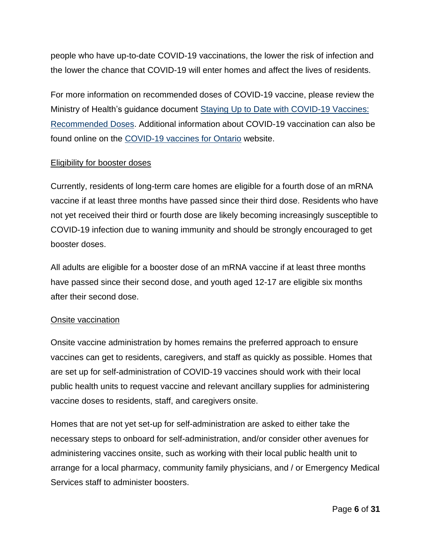people who have up-to-date COVID-19 vaccinations, the lower the risk of infection and the lower the chance that COVID-19 will enter homes and affect the lives of residents.

For more information on recommended doses of COVID-19 vaccine, please review the Ministry of Health's guidance document [Staying Up to Date with COVID-19 Vaccines:](https://www.health.gov.on.ca/en/pro/programs/publichealth/coronavirus/docs/vaccine/COVID_19_vaccine_up_to_date.pdf) [Recommended Doses.](https://www.health.gov.on.ca/en/pro/programs/publichealth/coronavirus/docs/vaccine/COVID_19_vaccine_up_to_date.pdf) Additional information about COVID-19 vaccination can also be found online on the [COVID-19 vaccines for Ontario](https://covid-19.ontario.ca/covid-19-vaccines-ontario) website.

#### Eligibility for booster doses

Currently, residents of long-term care homes are eligible for a fourth dose of an mRNA vaccine if at least three months have passed since their third dose. Residents who have not yet received their third or fourth dose are likely becoming increasingly susceptible to COVID-19 infection due to waning immunity and should be strongly encouraged to get booster doses.

All adults are eligible for a booster dose of an mRNA vaccine if at least three months have passed since their second dose, and youth aged 12-17 are eligible six months after their second dose.

#### Onsite vaccination

Onsite vaccine administration by homes remains the preferred approach to ensure vaccines can get to residents, caregivers, and staff as quickly as possible. Homes that are set up for self-administration of COVID-19 vaccines should work with their local public health units to request vaccine and relevant ancillary supplies for administering vaccine doses to residents, staff, and caregivers onsite.

Homes that are not yet set-up for self-administration are asked to either take the necessary steps to onboard for self-administration, and/or consider other avenues for administering vaccines onsite, such as working with their local public health unit to arrange for a local pharmacy, community family physicians, and / or Emergency Medical Services staff to administer boosters.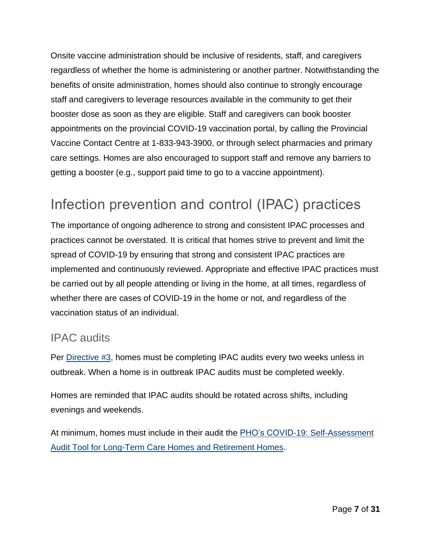Onsite vaccine administration should be inclusive of residents, staff, and caregivers regardless of whether the home is administering or another partner. Notwithstanding the benefits of onsite administration, homes should also continue to strongly encourage staff and caregivers to leverage resources available in the community to get their booster dose as soon as they are eligible. Staff and caregivers can book booster appointments on the provincial COVID-19 vaccination portal, by calling the Provincial Vaccine Contact Centre at 1-833-943-3900, or through select pharmacies and primary care settings. Homes are also encouraged to support staff and remove any barriers to getting a booster (e.g., support paid time to go to a vaccine appointment).

## <span id="page-6-0"></span>Infection prevention and control (IPAC) practices

The importance of ongoing adherence to strong and consistent IPAC processes and practices cannot be overstated. It is critical that homes strive to prevent and limit the spread of COVID-19 by ensuring that strong and consistent IPAC practices are implemented and continuously reviewed. Appropriate and effective IPAC practices must be carried out by all people attending or living in the home, at all times, regardless of whether there are cases of COVID-19 in the home or not, and regardless of the vaccination status of an individual.

### IPAC audits

Per [Directive #3,](https://www.health.gov.on.ca/en/pro/programs/publichealth/coronavirus/docs/directives/LTCH_HPPA.pdf) homes must be completing IPAC audits every two weeks unless in outbreak. When a home is in outbreak IPAC audits must be completed weekly.

Homes are reminded that IPAC audits should be rotated across shifts, including evenings and weekends.

At minimum, homes must include in their audit the **PHO's COVID-19: Self-Assessment** [Audit Tool for Long-Term Care Homes and Retirement Homes.](https://www.publichealthontario.ca/-/media/documents/ncov/ltcrh/2021/12/covid-self-assessment-audit-tool-ltc.pdf?sc_lang=en%22)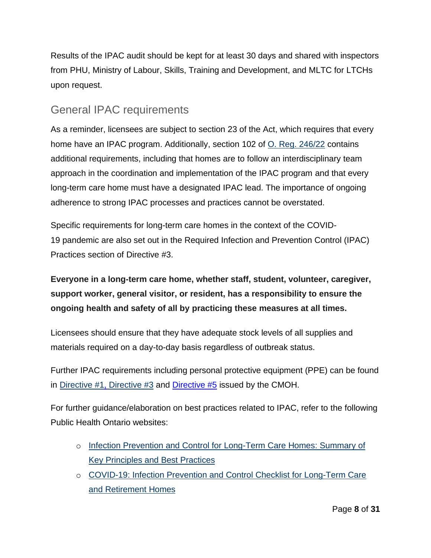Results of the IPAC audit should be kept for at least 30 days and shared with inspectors from PHU, Ministry of Labour, Skills, Training and Development, and MLTC for LTCHs upon request.

### General IPAC requirements

As a reminder, licensees are subject to section 23 of the Act, which requires that every home have an IPAC program. Additionally, section 102 of O. [Reg. 246/22](https://www.ontario.ca/laws/regulation/r22246) contains additional requirements, including that homes are to follow an interdisciplinary team approach in the coordination and implementation of the IPAC program and that every long-term care home must have a designated IPAC lead. The importance of ongoing adherence to strong IPAC processes and practices cannot be overstated.

Specific requirements for long-term care homes in the context of the COVID-19 pandemic are also set out in the Required Infection and Prevention Control (IPAC) Practices section of Directive #3.

### **Everyone in a long-term care home, whether staff, student, volunteer, caregiver, support worker, general visitor, or resident, has a responsibility to ensure the ongoing health and safety of all by practicing these measures at all times.**

Licensees should ensure that they have adequate stock levels of all supplies and materials required on a day-to-day basis regardless of outbreak status.

Further IPAC requirements including personal protective equipment (PPE) can be found in [Directive #1,](https://www.health.gov.on.ca/en/pro/programs/publichealth/coronavirus/docs/directives/health_care_providers_HPPA.pdf) [Directive #3](https://www.health.gov.on.ca/en/pro/programs/publichealth/coronavirus/docs/directives/LTCH_HPPA.pdf) and [Directive #5](https://www.health.gov.on.ca/en/pro/programs/publichealth/coronavirus/docs/directives/public_hospitals_act.pdf) issued by the CMOH.

For further guidance/elaboration on best practices related to IPAC, refer to the following Public Health Ontario websites:

- o Infection Prevention and Control for [Long-Term](https://www.publichealthontario.ca/-/media/documents/i/2021/ipac-ltch-principles-best-practices.pdf?la=en#:~:text=The%20goals%20of%20an%20IPAC%20program%20are%3A&text=To%20protect%20residents%20from%20health,reduced%20morbidity%20associated%20with%20infections.&text=To%20prevent%20the%20spread%20of,in%20the%20health%20care%20environment.) Care Homes: Summary of Key [Principles](https://www.publichealthontario.ca/-/media/documents/i/2021/ipac-ltch-principles-best-practices.pdf?la=en#:~:text=The%20goals%20of%20an%20IPAC%20program%20are%3A&text=To%20protect%20residents%20from%20health,reduced%20morbidity%20associated%20with%20infections.&text=To%20prevent%20the%20spread%20of,in%20the%20health%20care%20environment.) and Best Practices
- o [COVID-19:](https://www.publichealthontario.ca/-/media/documents/ncov/ipac/covid-19-ipack-checklist-ltcrh?la=en) Infection Prevention and Control Checklist for Long-Term Care and [Retirement](https://www.publichealthontario.ca/-/media/documents/ncov/ipac/covid-19-ipack-checklist-ltcrh?la=en) Homes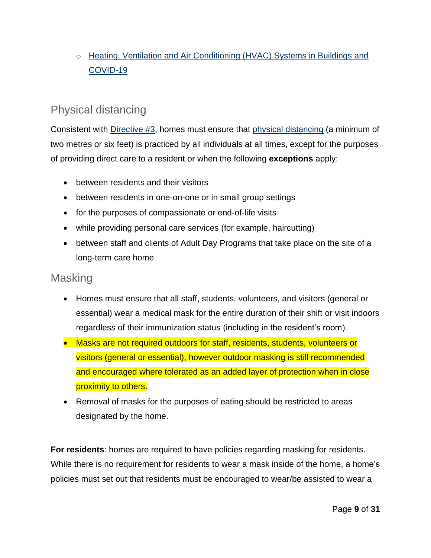### o [Heating, Ventilation and Air Conditioning \(HVAC\) Systems in Buildings and](https://www.publichealthontario.ca/-/media/documents/ncov/ipac/2020/09/covid-19-hvac-systems-in-buildings.pdf?sc_lang=en)  [COVID-19](https://www.publichealthontario.ca/-/media/documents/ncov/ipac/2020/09/covid-19-hvac-systems-in-buildings.pdf?sc_lang=en)

### Physical distancing

Consistent with [Directive](https://www.health.gov.on.ca/en/pro/programs/publichealth/coronavirus/docs/directives/LTCH_HPPA.pdf) #3, homes must ensure that physical [distancing](https://www.publichealthontario.ca/-/media/documents/ncov/ltcrh/2020/10/covid-19-poster-physically-distance-long-term-care.pdf?la=en) (a minimum of two metres or six feet) is practiced by all individuals at all times, except for the purposes of providing direct care to a resident or when the following **exceptions** apply:

- between residents and their visitors
- between residents in one-on-one or in small group settings
- for the purposes of compassionate or end-of-life visits
- while providing personal care services (for example, haircutting)
- between staff and clients of Adult Day Programs that take place on the site of a long-term care home

### **Masking**

- Homes must ensure that all staff, students, volunteers, and visitors (general or essential) wear a medical mask for the entire duration of their shift or visit indoors regardless of their immunization status (including in the resident's room).
- Masks are not required outdoors for staff, residents, students, volunteers or visitors (general or essential), however outdoor masking is still recommended and encouraged where tolerated as an added layer of protection when in close proximity to others.
- Removal of masks for the purposes of eating should be restricted to areas designated by the home.

**For residents**: homes are required to have policies regarding masking for residents. While there is no requirement for residents to wear a mask inside of the home, a home's policies must set out that residents must be encouraged to wear/be assisted to wear a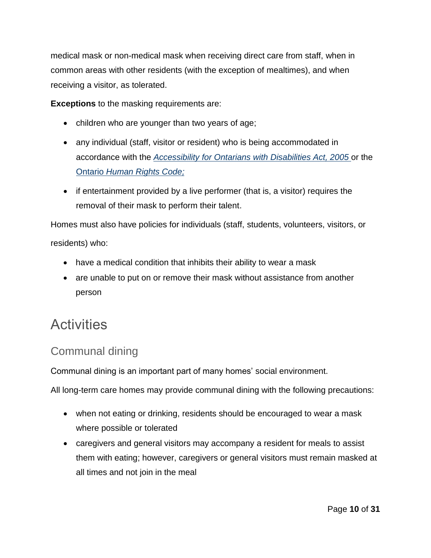medical mask or non-medical mask when receiving direct care from staff, when in common areas with other residents (with the exception of mealtimes), and when receiving a visitor, as tolerated.

**Exceptions** to the masking requirements are:

- children who are younger than two years of age;
- any individual (staff, visitor or resident) who is being accommodated in accordance with the *[Accessibility](https://www.ontario.ca/laws/statute/05a11) for Ontarians with Disabilities Act, 2005* or the Ontario *[Human Rights Code;](https://www.ontario.ca/laws/statute/90h19)*
- if entertainment provided by a live performer (that is, a visitor) requires the removal of their mask to perform their talent.

Homes must also have policies for individuals (staff, students, volunteers, visitors, or residents) who:

- have a medical condition that inhibits their ability to wear a mask
- are unable to put on or remove their mask without assistance from another person

## <span id="page-9-0"></span>**Activities**

### Communal dining

Communal dining is an important part of many homes' social environment.

All long-term care homes may provide communal dining with the following precautions:

- when not eating or drinking, residents should be encouraged to wear a mask where possible or tolerated
- caregivers and general visitors may accompany a resident for meals to assist them with eating; however, caregivers or general visitors must remain masked at all times and not join in the meal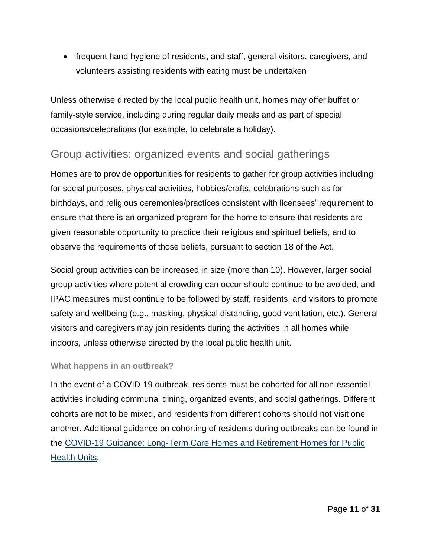• frequent hand hygiene of residents, and staff, general visitors, caregivers, and volunteers assisting residents with eating must be undertaken

Unless otherwise directed by the local public health unit, homes may offer buffet or family-style service, including during regular daily meals and as part of special occasions/celebrations (for example, to celebrate a holiday).

### Group activities: organized events and social gatherings

Homes are to provide opportunities for residents to gather for group activities including for social purposes, physical activities, hobbies/crafts, celebrations such as for birthdays, and religious ceremonies/practices consistent with licensees' requirement to ensure that there is an organized program for the home to ensure that residents are given reasonable opportunity to practice their religious and spiritual beliefs, and to observe the requirements of those beliefs, pursuant to section 18 of the Act.

Social group activities can be increased in size (more than 10). However, larger social group activities where potential crowding can occur should continue to be avoided, and IPAC measures must continue to be followed by staff, residents, and visitors to promote safety and wellbeing (e.g., masking, physical distancing, good ventilation, etc.). General visitors and caregivers may join residents during the activities in all homes while indoors, unless otherwise directed by the local public health unit.

#### **What happens in an outbreak?**

In the event of a COVID-19 outbreak, residents must be cohorted for all non-essential activities including communal dining, organized events, and social gatherings. Different cohorts are not to be mixed, and residents from different cohorts should not visit one another. Additional guidance on cohorting of residents during outbreaks can be found in the [COVID-19 Guidance: Long-Term Care Homes and Retirement](https://www.health.gov.on.ca/en/pro/programs/publichealth/coronavirus/docs/2019_LTC_homes_retirement_homes_for_PHUs_guidance.pdf) Homes for Public [Health Units.](https://www.health.gov.on.ca/en/pro/programs/publichealth/coronavirus/docs/2019_LTC_homes_retirement_homes_for_PHUs_guidance.pdf)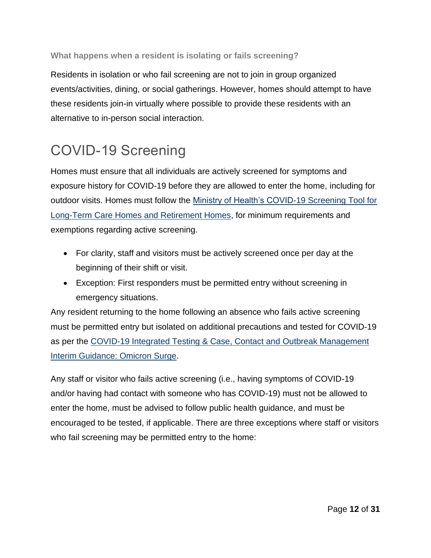#### **What happens when a resident is isolating or fails screening?**

Residents in isolation or who fail screening are not to join in group organized events/activities, dining, or social gatherings. However, homes should attempt to have these residents join-in virtually where possible to provide these residents with an alternative to in-person social interaction.

## COVID-19 Screening

Homes must ensure that all individuals are actively screened for symptoms and exposure history for COVID-19 before they are allowed to enter the home, including for outdoor visits. Homes must follow the [Ministry of Health's COVID-19](https://www.health.gov.on.ca/en/pro/programs/publichealth/coronavirus/docs/2019_screening_guidance.pdf) Screening Tool for [Long-Term Care Homes and Retirement Homes,](https://www.health.gov.on.ca/en/pro/programs/publichealth/coronavirus/docs/2019_screening_guidance.pdf) for minimum requirements and exemptions regarding active screening.

- For clarity, staff and visitors must be actively screened once per day at the beginning of their shift or visit.
- Exception: First responders must be permitted entry without screening in emergency situations.

Any resident returning to the home following an absence who fails active screening must be permitted entry but isolated on additional precautions and tested for COVID-19 as per the [COVID-19 Integrated Testing & Case, Contact and](https://www.health.gov.on.ca/en/pro/programs/publichealth/coronavirus/docs/contact_mngmt/management_cases_contacts.pdf) Outbreak Management [Interim Guidance: Omicron Surge.](https://www.health.gov.on.ca/en/pro/programs/publichealth/coronavirus/docs/contact_mngmt/management_cases_contacts.pdf)

Any staff or visitor who fails active screening (i.e., having symptoms of COVID-19 and/or having had contact with someone who has COVID-19) must not be allowed to enter the home, must be advised to follow public health guidance, and must be encouraged to be tested, if applicable. There are three exceptions where staff or visitors who fail screening may be permitted entry to the home: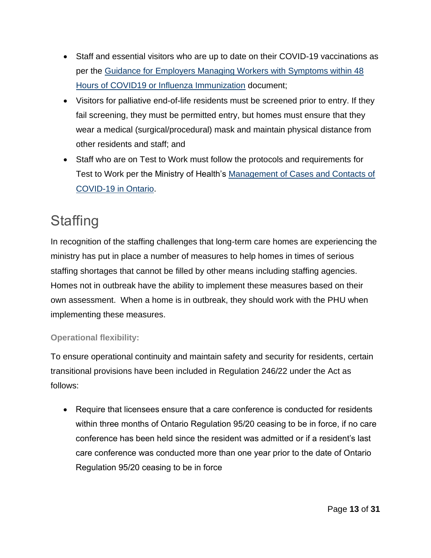- Staff and essential visitors who are up to date on their COVID-19 vaccinations as per the Guidance for [Employers Managing Workers with Symptoms within 48](https://www.health.gov.on.ca/en/pro/programs/publichealth/coronavirus/docs/guidance_for_screening_vaccinated_individuals.pdf)  [Hours of COVID19 or Influenza Immunization](https://www.health.gov.on.ca/en/pro/programs/publichealth/coronavirus/docs/guidance_for_screening_vaccinated_individuals.pdf) document;
- Visitors for palliative end-of-life residents must be screened prior to entry. If they fail screening, they must be permitted entry, but homes must ensure that they wear a medical (surgical/procedural) mask and maintain physical distance from other residents and staff; and
- Staff who are on Test to Work must follow the protocols and requirements for Test to Work per the Ministry of Health's [Management of Cases and Contacts of](https://www.health.gov.on.ca/en/pro/programs/publichealth/coronavirus/docs/early_return%20_to_work.pdf)  [COVID-19 in Ontario.](https://www.health.gov.on.ca/en/pro/programs/publichealth/coronavirus/docs/early_return%20_to_work.pdf)

## <span id="page-12-0"></span>**Staffing**

In recognition of the staffing challenges that long-term care homes are experiencing the ministry has put in place a number of measures to help homes in times of serious staffing shortages that cannot be filled by other means including staffing agencies. Homes not in outbreak have the ability to implement these measures based on their own assessment. When a home is in outbreak, they should work with the PHU when implementing these measures.

#### **Operational flexibility:**

To ensure operational continuity and maintain safety and security for residents, certain transitional provisions have been included in Regulation 246/22 under the Act as follows:

• Require that licensees ensure that a care conference is conducted for residents within three months of Ontario Regulation 95/20 ceasing to be in force, if no care conference has been held since the resident was admitted or if a resident's last care conference was conducted more than one year prior to the date of Ontario Regulation 95/20 ceasing to be in force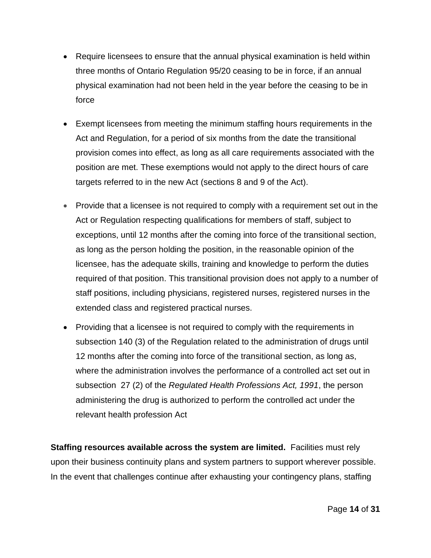- Require licensees to ensure that the annual physical examination is held within three months of Ontario Regulation 95/20 ceasing to be in force, if an annual physical examination had not been held in the year before the ceasing to be in force
- Exempt licensees from meeting the minimum staffing hours requirements in the Act and Regulation, for a period of six months from the date the transitional provision comes into effect, as long as all care requirements associated with the position are met. These exemptions would not apply to the direct hours of care targets referred to in the new Act (sections 8 and 9 of the Act).
- Provide that a licensee is not required to comply with a requirement set out in the Act or Regulation respecting qualifications for members of staff, subject to exceptions, until 12 months after the coming into force of the transitional section, as long as the person holding the position, in the reasonable opinion of the licensee, has the adequate skills, training and knowledge to perform the duties required of that position. This transitional provision does not apply to a number of staff positions, including physicians, registered nurses, registered nurses in the extended class and registered practical nurses.
- Providing that a licensee is not required to comply with the requirements in subsection 140 (3) of the Regulation related to the administration of drugs until 12 months after the coming into force of the transitional section, as long as, where the administration involves the performance of a controlled act set out in subsection 27 (2) of the *Regulated Health Professions Act, 1991*, the person administering the drug is authorized to perform the controlled act under the relevant health profession Act

**Staffing resources available across the system are limited.** Facilities must rely upon their business continuity plans and system partners to support wherever possible. In the event that challenges continue after exhausting your contingency plans, staffing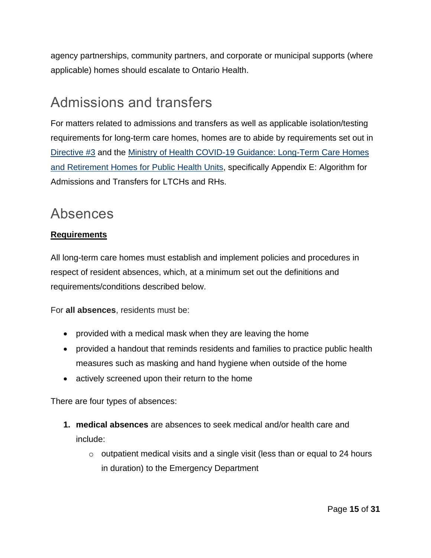agency partnerships, community partners, and corporate or municipal supports (where applicable) homes should escalate to Ontario Health.

## <span id="page-14-0"></span>Admissions and transfers

For matters related to admissions and transfers as well as applicable isolation/testing requirements for long-term care homes, homes are to abide by requirements set out in [Directive #3](https://www.health.gov.on.ca/en/pro/programs/publichealth/coronavirus/docs/directives/LTCH_HPPA.pdf) and the [Ministry of Health COVID-19 Guidance: Long-Term Care Homes](https://www.health.gov.on.ca/en/pro/programs/publichealth/coronavirus/docs/2019_LTC_homes_retirement_homes_for_PHUs_guidance.pdf)  [and Retirement Homes for Public Health Units,](https://www.health.gov.on.ca/en/pro/programs/publichealth/coronavirus/docs/2019_LTC_homes_retirement_homes_for_PHUs_guidance.pdf) specifically Appendix E: Algorithm for Admissions and Transfers for LTCHs and RHs.

### <span id="page-14-1"></span>Absences

#### **Requirements**

All long-term care homes must establish and implement policies and procedures in respect of resident absences, which, at a minimum set out the definitions and requirements/conditions described below.

For **all absences**, residents must be:

- provided with a medical mask when they are leaving the home
- provided a handout that reminds residents and families to practice public health measures such as masking and hand hygiene when outside of the home
- actively screened upon their return to the home

There are four types of absences:

- **1. medical absences** are absences to seek medical and/or health care and include:
	- $\circ$  outpatient medical visits and a single visit (less than or equal to 24 hours in duration) to the Emergency Department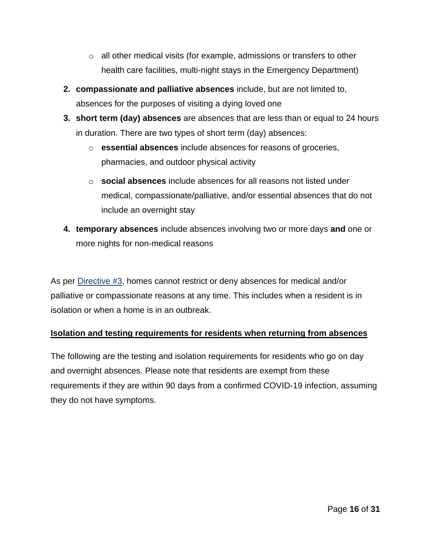- $\circ$  all other medical visits (for example, admissions or transfers to other health care facilities, multi-night stays in the Emergency Department)
- **2. compassionate and palliative absences** include, but are not limited to, absences for the purposes of visiting a dying loved one
- **3. short term (day) absences** are absences that are less than or equal to 24 hours in duration. There are two types of short term (day) absences:
	- o **essential absences** include absences for reasons of groceries, pharmacies, and outdoor physical activity
	- o **social absences** include absences for all reasons not listed under medical, compassionate/palliative, and/or essential absences that do not include an overnight stay
- **4. temporary absences** include absences involving two or more days **and** one or more nights for non-medical reasons

As per [Directive](https://www.health.gov.on.ca/en/pro/programs/publichealth/coronavirus/docs/directives/LTCH_HPPA.pdf) #3, homes cannot restrict or deny absences for medical and/or palliative or compassionate reasons at any time. This includes when a resident is in isolation or when a home is in an outbreak.

#### **Isolation and testing requirements for residents when returning from absences**

The following are the testing and isolation requirements for residents who go on day and overnight absences. Please note that residents are exempt from these requirements if they are within 90 days from a confirmed COVID-19 infection, assuming they do not have symptoms.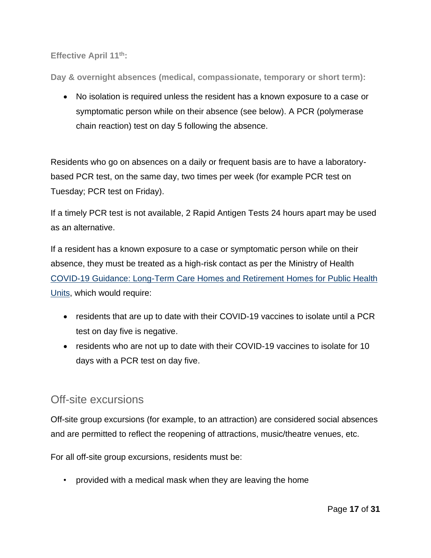**Effective April 11th:**

**Day & overnight absences (medical, compassionate, temporary or short term):**

• No isolation is required unless the resident has a known exposure to a case or symptomatic person while on their absence (see below). A PCR (polymerase chain reaction) test on day 5 following the absence.

Residents who go on absences on a daily or frequent basis are to have a laboratorybased PCR test, on the same day, two times per week (for example PCR test on Tuesday; PCR test on Friday).

If a timely PCR test is not available, 2 Rapid Antigen Tests 24 hours apart may be used as an alternative.

If a resident has a known exposure to a case or symptomatic person while on their absence, they must be treated as a high-risk contact as per the Ministry of Health COVID-19 Guidance: [Long-Term](https://www.health.gov.on.ca/en/pro/programs/publichealth/coronavirus/docs/2019_LTC_homes_retirement_homes_for_PHUs_guidance.pdf) Care Homes and Retirement Homes for Public Health [Units,](https://www.health.gov.on.ca/en/pro/programs/publichealth/coronavirus/docs/2019_LTC_homes_retirement_homes_for_PHUs_guidance.pdf) which would require:

- residents that are up to date with their COVID-19 vaccines to isolate until a PCR test on day five is negative.
- residents who are not up to date with their COVID-19 vaccines to isolate for 10 days with a PCR test on day five.

### Off-site excursions

Off-site group excursions (for example, to an attraction) are considered social absences and are permitted to reflect the reopening of attractions, music/theatre venues, etc.

For all off-site group excursions, residents must be:

• provided with a medical mask when they are leaving the home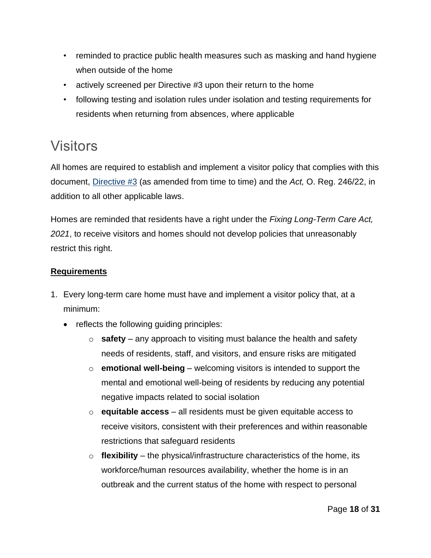- reminded to practice public health measures such as masking and hand hygiene when outside of the home
- actively screened per Directive #3 upon their return to the home
- following testing and isolation rules under isolation and testing requirements for residents when returning from absences, where applicable

## Visitors

All homes are required to establish and implement a visitor policy that complies with this document, [Directive #3](https://www.health.gov.on.ca/en/pro/programs/publichealth/coronavirus/docs/directives/LTCH_HPPA.pdf) (as amended from time to time) and the *Act,* O. Reg. 246/22, in addition to all other applicable laws.

Homes are reminded that residents have a right under the *Fixing Long-Term Care Act, 2021*, to receive visitors and homes should not develop policies that unreasonably restrict this right.

#### **Requirements**

- 1. Every long-term care home must have and implement a visitor policy that, at a minimum:
	- reflects the following guiding principles:
		- o **safety** any approach to visiting must balance the health and safety needs of residents, staff, and visitors, and ensure risks are mitigated
		- o **emotional well-being** welcoming visitors is intended to support the mental and emotional well-being of residents by reducing any potential negative impacts related to social isolation
		- o **equitable access** all residents must be given equitable access to receive visitors, consistent with their preferences and within reasonable restrictions that safeguard residents
		- o **flexibility** the physical/infrastructure characteristics of the home, its workforce/human resources availability, whether the home is in an outbreak and the current status of the home with respect to personal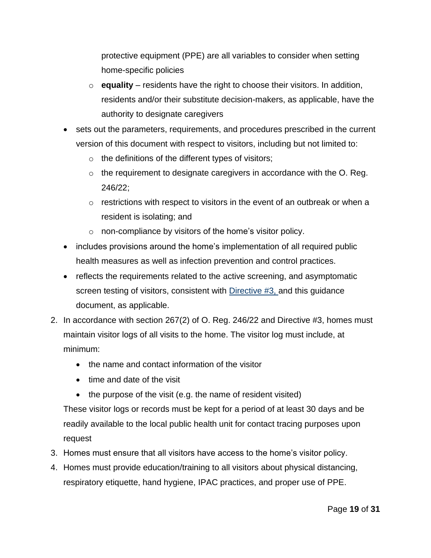protective equipment (PPE) are all variables to consider when setting home-specific policies

- o **equality** residents have the right to choose their visitors. In addition, residents and/or their substitute decision-makers, as applicable, have the authority to designate caregivers
- sets out the parameters, requirements, and procedures prescribed in the current version of this document with respect to visitors, including but not limited to:
	- o the definitions of the different types of visitors;
	- $\circ$  the requirement to designate caregivers in accordance with the O. Reg. 246/22;
	- $\circ$  restrictions with respect to visitors in the event of an outbreak or when a resident is isolating; and
	- o non-compliance by visitors of the home's visitor policy.
- includes provisions around the home's implementation of all required public health measures as well as infection prevention and control practices.
- reflects the requirements related to the active screening, and asymptomatic screen testing of visitors, consistent with [Directive #3,](https://www.health.gov.on.ca/en/pro/programs/publichealth/coronavirus/docs/directives/LTCH_HPPA.pdf) and this guidance document, as applicable.
- 2. In accordance with section 267(2) of O. Reg. 246/22 and Directive #3, homes must maintain visitor logs of all visits to the home. The visitor log must include, at minimum:
	- the name and contact information of the visitor
	- time and date of the visit
	- the purpose of the visit (e.g. the name of resident visited)

These visitor logs or records must be kept for a period of at least 30 days and be readily available to the local public health unit for contact tracing purposes upon request

- 3. Homes must ensure that all visitors have access to the home's visitor policy.
- 4. Homes must provide education/training to all visitors about physical distancing, respiratory etiquette, hand hygiene, IPAC practices, and proper use of PPE.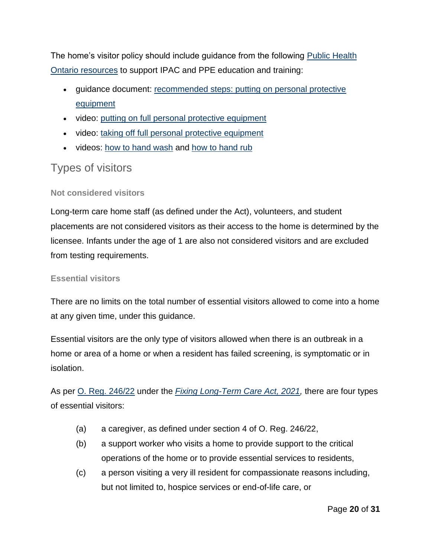The home's visitor policy should include guidance from the following [Public Health](https://www.publichealthontario.ca/en/diseases-and-conditions/infectious-diseases/respiratory-diseases/novel-coronavirus/long-term-care-resources)  [Ontario resources](https://www.publichealthontario.ca/en/diseases-and-conditions/infectious-diseases/respiratory-diseases/novel-coronavirus/long-term-care-resources) to support IPAC and PPE education and training:

- guidance document: [recommended steps: putting on personal protective](https://www.publichealthontario.ca/-/media/documents/ncov/ipac/ppe-recommended-steps)  [equipment](https://www.publichealthontario.ca/-/media/documents/ncov/ipac/ppe-recommended-steps)
- video: putting [on full personal protective equipment](https://www.publichealthontario.ca/en/videos/ipac-fullppe-on)
- video: [taking off full personal protective equipment](https://www.publichealthontario.ca/en/videos/ipac-fullppe-off)
- videos: how [to hand wash](https://www.publichealthontario.ca/en/videos/ipac-handwash) and [how to hand rub](https://www.publichealthontario.ca/en/videos/ipac-handrub)

### Types of visitors

#### **Not considered visitors**

Long-term care home staff (as defined under the Act), volunteers, and student placements are not considered visitors as their access to the home is determined by the licensee. Infants under the age of 1 are also not considered visitors and are excluded from testing requirements.

#### **Essential visitors**

There are no limits on the total number of essential visitors allowed to come into a home at any given time, under this guidance.

Essential visitors are the only type of visitors allowed when there is an outbreak in a home or area of a home or when a resident has failed screening, is symptomatic or in isolation.

As per [O. Reg. 246/22](https://www.ontario.ca/laws/regulation/220246) under the *[Fixing Long-Term Care Act, 2021,](https://www.ontario.ca/laws/statute/21f39)* there are four types of essential visitors:

- (a) a caregiver, as defined under section 4 of O. Reg. 246/22,
- (b) a support worker who visits a home to provide support to the critical operations of the home or to provide essential services to residents,
- (c) a person visiting a very ill resident for compassionate reasons including, but not limited to, hospice services or end-of-life care, or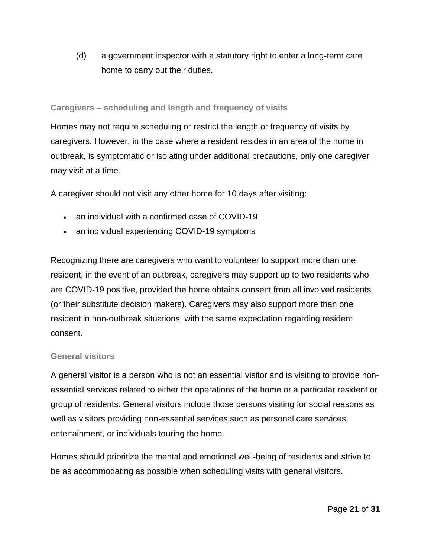(d) a government inspector with a statutory right to enter a long-term care home to carry out their duties.

#### **Caregivers – scheduling and length and frequency of visits**

Homes may not require scheduling or restrict the length or frequency of visits by caregivers. However, in the case where a resident resides in an area of the home in outbreak, is symptomatic or isolating under additional precautions, only one caregiver may visit at a time.

A caregiver should not visit any other home for 10 days after visiting:

- an individual with a confirmed case of COVID-19
- an individual experiencing COVID-19 symptoms

Recognizing there are caregivers who want to volunteer to support more than one resident, in the event of an outbreak, caregivers may support up to two residents who are COVID-19 positive, provided the home obtains consent from all involved residents (or their substitute decision makers). Caregivers may also support more than one resident in non-outbreak situations, with the same expectation regarding resident consent.

#### **General visitors**

A general visitor is a person who is not an essential visitor and is visiting to provide nonessential services related to either the operations of the home or a particular resident or group of residents. General visitors include those persons visiting for social reasons as well as visitors providing non-essential services such as personal care services, entertainment, or individuals touring the home.

Homes should prioritize the mental and emotional well-being of residents and strive to be as accommodating as possible when scheduling visits with general visitors.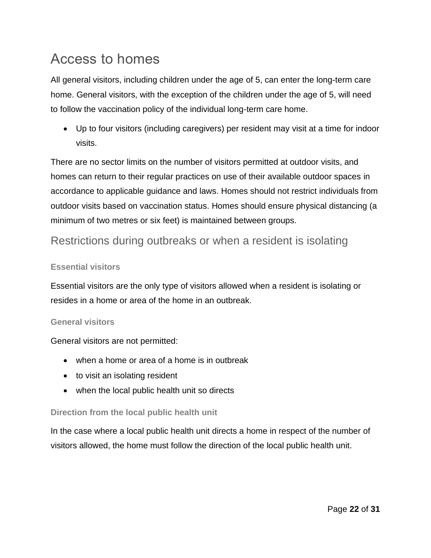## <span id="page-21-0"></span>Access to homes

All general visitors, including children under the age of 5, can enter the long-term care home. General visitors, with the exception of the children under the age of 5, will need to follow the vaccination policy of the individual long-term care home.

• Up to four visitors (including caregivers) per resident may visit at a time for indoor visits.

There are no sector limits on the number of visitors permitted at outdoor visits, and homes can return to their regular practices on use of their available outdoor spaces in accordance to applicable guidance and laws. Homes should not restrict individuals from outdoor visits based on vaccination status. Homes should ensure physical distancing (a minimum of two metres or six feet) is maintained between groups.

### Restrictions during outbreaks or when a resident is isolating

#### **Essential visitors**

Essential visitors are the only type of visitors allowed when a resident is isolating or resides in a home or area of the home in an outbreak.

#### **General visitors**

General visitors are not permitted:

- when a home or area of a home is in outbreak
- to visit an isolating resident
- when the local public health unit so directs

#### **Direction from the local public health unit**

In the case where a local public health unit directs a home in respect of the number of visitors allowed, the home must follow the direction of the local public health unit.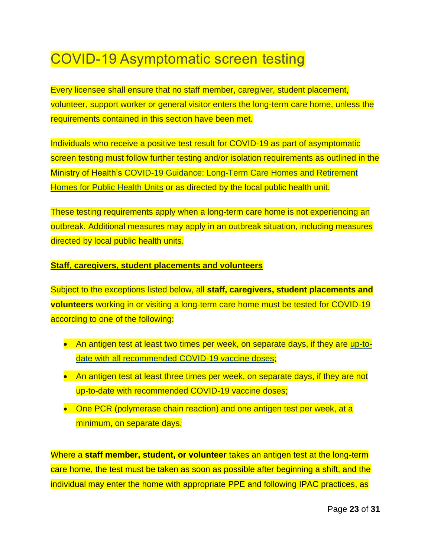## COVID-19 Asymptomatic screen testing

Every licensee shall ensure that no staff member, caregiver, student placement, volunteer, support worker or general visitor enters the long-term care home, unless the requirements contained in this section have been met.

Individuals who receive a positive test result for COVID-19 as part of asymptomatic screen testing must follow further testing and/or isolation requirements as outlined in the Ministry of Health's COVID-19 Guidance: [Long-Term](file:///C:/Users/DwyerC1/Downloads/2019_LTC_homes_retirement_homes_for_PHUs_guidance) Care Homes and Retirement [Homes](file:///C:/Users/DwyerC1/Downloads/2019_LTC_homes_retirement_homes_for_PHUs_guidance) for Public Health Units or as directed by the local public health unit.

These testing requirements apply when a long-term care home is not experiencing an outbreak. Additional measures may apply in an outbreak situation, including measures directed by local public health units.

#### **Staff, caregivers, student placements and volunteers**

Subject to the exceptions listed below, all **staff, caregivers, student placements and volunteers** working in or visiting a long-term care home must be tested for COVID-19 according to one of the following:

- An antigen test at least two times per week, on separate days, if they are [up-to](https://www.health.gov.on.ca/en/pro/programs/publichealth/coronavirus/docs/vaccine/COVID_19_vaccine_up_to_date.pdf)date with all [recommended](https://www.health.gov.on.ca/en/pro/programs/publichealth/coronavirus/docs/vaccine/COVID_19_vaccine_up_to_date.pdf) COVID-19 vaccine doses;
- An antigen test at least three times per week, on separate days, if they are not up-to-date with recommended COVID-19 vaccine doses;
- One PCR (polymerase chain reaction) and one antigen test per week, at a minimum, on separate days.

Where a **staff member, student, or volunteer** takes an antigen test at the long-term care home, the test must be taken as soon as possible after beginning a shift, and the individual may enter the home with appropriate PPE and following IPAC practices, as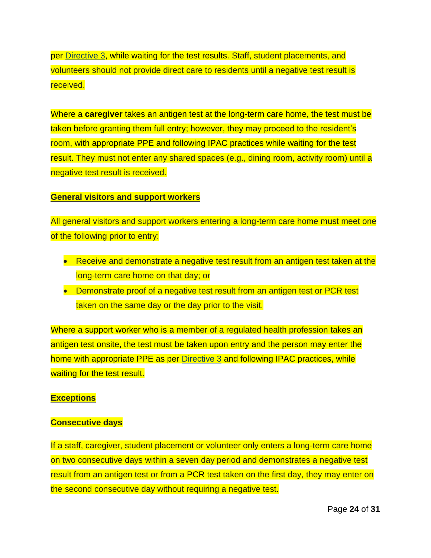per [Directive](https://www.health.gov.on.ca/en/pro/programs/publichealth/coronavirus/docs/directives/LTCH_HPPA.pdf) 3, while waiting for the test results. Staff, student placements, and volunteers should not provide direct care to residents until a negative test result is received.

Where a **caregiver** takes an antigen test at the long-term care home, the test must be taken before granting them full entry; however, they may proceed to the resident's room, with appropriate PPE and following IPAC practices while waiting for the test result. They must not enter any shared spaces (e.g., dining room, activity room) until a negative test result is received.

#### **General visitors and support workers**

All general visitors and support workers entering a long-term care home must meet one of the following prior to entry:

- Receive and demonstrate a negative test result from an antigen test taken at the long-term care home on that day; or
- Demonstrate proof of a negative test result from an antigen test or PCR test taken on the same day or the day prior to the visit.

Where a support worker who is a member of a regulated health profession takes an antigen test onsite, the test must be taken upon entry and the person may enter the home with appropriate PPE as per [Directive](https://www.health.gov.on.ca/en/pro/programs/publichealth/coronavirus/docs/directives/LTCH_HPPA.pdf) 3 and following IPAC practices, while waiting for the test result.

#### **Exceptions**

#### **Consecutive days**

If a staff, caregiver, student placement or volunteer only enters a long-term care home on two consecutive days within a seven day period and demonstrates a negative test result from an antigen test or from a PCR test taken on the first day, they may enter on the second consecutive day without requiring a negative test.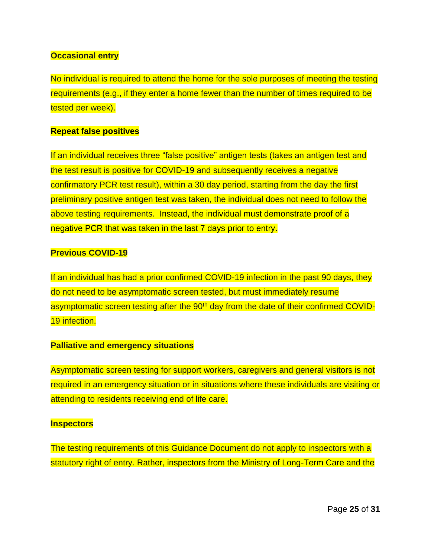#### **Occasional entry**

No individual is required to attend the home for the sole purposes of meeting the testing requirements (e.g., if they enter a home fewer than the number of times required to be tested per week).

#### **Repeat false positives**

If an individual receives three "false positive" antigen tests (takes an antigen test and the test result is positive for COVID-19 and subsequently receives a negative confirmatory PCR test result), within a 30 day period, starting from the day the first preliminary positive antigen test was taken, the individual does not need to follow the above testing requirements. Instead, the individual must demonstrate proof of a negative PCR that was taken in the last 7 days prior to entry.

#### **Previous COVID-19**

If an individual has had a prior confirmed COVID-19 infection in the past 90 days, they do not need to be asymptomatic screen tested, but must immediately resume asymptomatic screen testing after the 90<sup>th</sup> day from the date of their confirmed COVID-19 infection.

#### **Palliative and emergency situations**

Asymptomatic screen testing for support workers, caregivers and general visitors is not required in an emergency situation or in situations where these individuals are visiting or attending to residents receiving end of life care.

#### **Inspectors**

The testing requirements of this Guidance Document do not apply to inspectors with a statutory right of entry. Rather, inspectors from the Ministry of Long-Term Care and the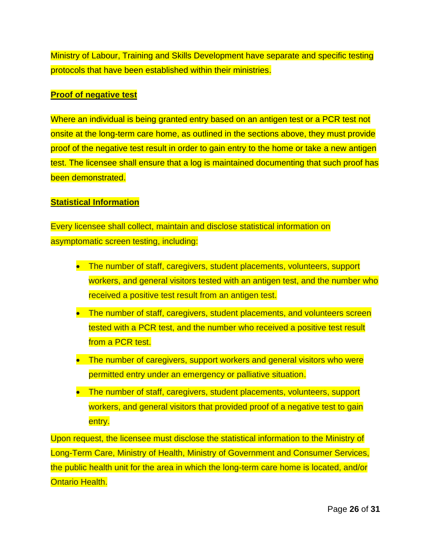Ministry of Labour, Training and Skills Development have separate and specific testing protocols that have been established within their ministries.

#### **Proof of negative test**

Where an individual is being granted entry based on an antigen test or a PCR test not onsite at the long-term care home, as outlined in the sections above, they must provide proof of the negative test result in order to gain entry to the home or take a new antigen test. The licensee shall ensure that a log is maintained documenting that such proof has been demonstrated.

#### **Statistical Information**

Every licensee shall collect, maintain and disclose statistical information on asymptomatic screen testing, including:

- The number of staff, caregivers, student placements, volunteers, support workers, and general visitors tested with an antigen test, and the number who received a positive test result from an antigen test.
- The number of staff, caregivers, student placements, and volunteers screen tested with a PCR test, and the number who received a positive test result from a PCR test.
- The number of caregivers, support workers and general visitors who were permitted entry under an emergency or palliative situation.
- The number of staff, caregivers, student placements, volunteers, support workers, and general visitors that provided proof of a negative test to gain entry.

Upon request, the licensee must disclose the statistical information to the Ministry of Long-Term Care, Ministry of Health, Ministry of Government and Consumer Services, the public health unit for the area in which the long-term care home is located, and/or Ontario Health.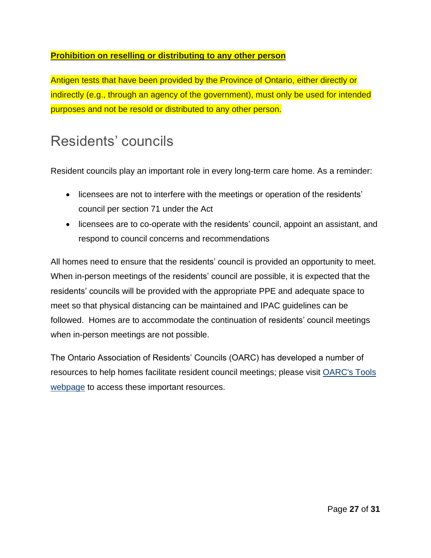#### **Prohibition on reselling or distributing to any other person**

Antigen tests that have been provided by the Province of Ontario, either directly or indirectly (e.g., through an agency of the government), must only be used for intended purposes and not be resold or distributed to any other person.

### Residents' councils

Resident councils play an important role in every long-term care home. As a reminder:

- licensees are not to interfere with the meetings or operation of the residents' council per section 71 under the Act
- licensees are to co-operate with the residents' council, appoint an assistant, and respond to council concerns and recommendations

All homes need to ensure that the residents' council is provided an opportunity to meet. When in-person meetings of the residents' council are possible, it is expected that the residents' councils will be provided with the appropriate PPE and adequate space to meet so that physical distancing can be maintained and IPAC guidelines can be followed. Homes are to accommodate the continuation of residents' council meetings when in-person meetings are not possible.

<span id="page-26-0"></span>The Ontario Association of Residents' Councils (OARC) has developed a number of resources to help homes facilitate resident council meetings; please visit [OARC's Tools](https://www.ontarc.com/education-support/tools.html)  [webpage](https://www.ontarc.com/education-support/tools.html) to access these important resources.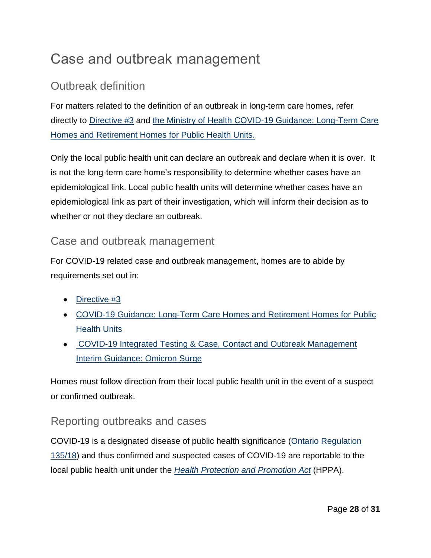## Case and outbreak management

### Outbreak definition

For matters related to the definition of an outbreak in long-term care homes, refer directly to [Directive #3](https://www.health.gov.on.ca/en/pro/programs/publichealth/coronavirus/docs/directives/LTCH_HPPA.pdf) and [the Ministry of Health COVID-19 Guidance: Long-Term Care](https://www.health.gov.on.ca/en/pro/programs/publichealth/coronavirus/docs/2019_LTC_homes_retirement_homes_for_PHUs_guidance.pdf)  [Homes and Retirement Homes for Public Health Units.](https://www.health.gov.on.ca/en/pro/programs/publichealth/coronavirus/docs/2019_LTC_homes_retirement_homes_for_PHUs_guidance.pdf)

Only the local public health unit can declare an outbreak and declare when it is over. It is not the long-term care home's responsibility to determine whether cases have an epidemiological link. Local public health units will determine whether cases have an epidemiological link as part of their investigation, which will inform their decision as to whether or not they declare an outbreak.

### Case and outbreak management

For COVID-19 related case and outbreak management, homes are to abide by requirements set out in:

- [Directive](http://www.health.gov.on.ca/en/pro/programs/publichealth/coronavirus/docs/directives/LTCH_HPPA.pdf) #3
- COVID-19 Guidance: Long-Term Care Homes and Retirement Homes for Public **Health Units**
- COVID-19 Integrated Testing & Case, Contact and Outbreak [Management](https://www.health.gov.on.ca/en/pro/programs/publichealth/coronavirus/docs/contact_mngmt/management_cases_contacts_omicron.pdf) Interim [Guidance:](https://www.health.gov.on.ca/en/pro/programs/publichealth/coronavirus/docs/contact_mngmt/management_cases_contacts_omicron.pdf) Omicron Surge

Homes must follow direction from their local public health unit in the event of a suspect or confirmed outbreak.

### <span id="page-27-0"></span>Reporting outbreaks and cases

COVID-19 is a designated disease of public health significance (Ontario [Regulation](https://www.ontario.ca/laws/regulation/180135) [135/18\)](https://www.ontario.ca/laws/regulation/180135) and thus confirmed and suspected cases of COVID-19 are reportable to the local public health unit under the *Health Protection and [Promotion](https://www.ontario.ca/laws/statute/90h07) Act* (HPPA).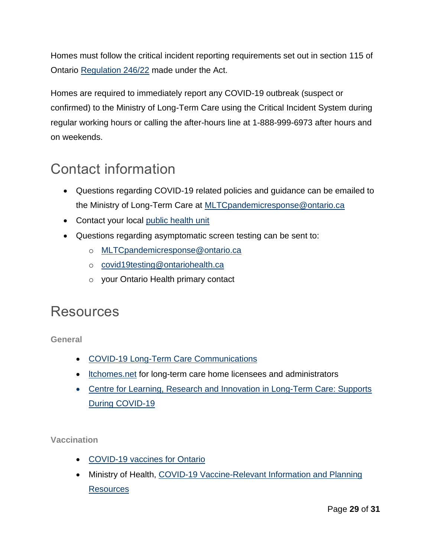Homes must follow the critical incident reporting requirements set out in section 115 of Ontario [Regulation 246/22](https://www.ontario.ca/laws/regulation/r22246) made under the Act.

Homes are required to immediately report any COVID-19 outbreak (suspect or confirmed) to the Ministry of Long-Term Care using the Critical Incident System during regular working hours or calling the after-hours line at 1-888-999-6973 after hours and on weekends.

## <span id="page-28-0"></span>Contact information

- Questions regarding COVID-19 related policies and guidance can be emailed to the Ministry of Long-Term Care at [MLTCpandemicresponse@ontario.ca](mailto:MLTCpandemicresponse@ontario.ca)
- Contact your local [public health unit](https://www.health.gov.on.ca/en/common/system/services/phu/locations.aspx)
- Questions regarding asymptomatic screen testing can be sent to:
	- o [MLTCpandemicresponse@ontario.ca](mailto:MLTCpandemicresponse@ontario.ca)
	- o [covid19testing@ontariohealth.ca](mailto:covid19testing@ontariohealth.ca)
	- o your Ontario Health primary contact

### <span id="page-28-1"></span>Resources

**General**

- COVID-19 Long-Term Care [Communications](https://www.health.gov.on.ca/en/pro/programs/ltc/covid19.aspx)
- [ltchomes.net](https://ltchomes.net/) for long-term care home licensees and administrators
- Centre for Learning, Research and Innovation in [Long-Term](https://clri-ltc.ca/covid19/) Care: Supports During COVID-19

**Vaccination**

- [COVID-19](https://covid-19.ontario.ca/covid-19-vaccines-ontario) vaccines for Ontario
- Ministry of Health, COVID-19 [Vaccine-Relevant Information and Planning](https://www.health.gov.on.ca/en/pro/programs/publichealth/coronavirus/covid19_vaccine.aspx)  **[Resources](https://www.health.gov.on.ca/en/pro/programs/publichealth/coronavirus/covid19_vaccine.aspx)**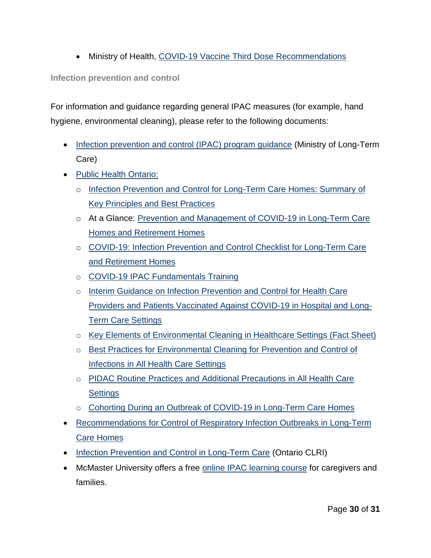• Ministry of Health, COVID-19 Vaccine Third Dose [Recommendations](https://www.health.gov.on.ca/en/pro/programs/publichealth/coronavirus/docs/vaccine/COVID-19_vaccine_third_dose_recommendations.pdf)

**Infection prevention and control** 

For information and guidance regarding general IPAC measures (for example, hand hygiene, environmental cleaning), please refer to the following documents:

- [Infection prevention and control \(IPAC\) program guidance](https://hpepublichealth.ca/wp-content/uploads/2021/01/20210114-Ministry-of-Long-Term-Care-Infection-prevention-and-control-IPAC-January-2021.pdf) (Ministry of Long-Term Care)
- Public Health [Ontario:](https://www.publichealthontario.ca/)
	- o Infection Prevention and Control for [Long-Term](https://www.publichealthontario.ca/-/media/documents/i/2021/ipac-ltch-principles-best-practices.pdf?la=en#:~:text=The%20goals%20of%20an%20IPAC%20program%20are%3A&text=To%20protect%20residents%20from%20health,reduced%20morbidity%20associated%20with%20infections.&text=To%20prevent%20the%20spread%20of,in%20the%20health%20care%20environment.) Care Homes: Summary of Key [Principles](https://www.publichealthontario.ca/-/media/documents/i/2021/ipac-ltch-principles-best-practices.pdf?la=en#:~:text=The%20goals%20of%20an%20IPAC%20program%20are%3A&text=To%20protect%20residents%20from%20health,reduced%20morbidity%20associated%20with%20infections.&text=To%20prevent%20the%20spread%20of,in%20the%20health%20care%20environment.) and Best Practices
	- o At a Glance: Prevention and [Management](https://www.publichealthontario.ca/-/media/documents/ncov/ltcrh/2020/06/covid-19-prevention-management-ltcrh.pdf?la=en) of COVID-19 in Long-Term Care Homes and [Retirement](https://www.publichealthontario.ca/-/media/documents/ncov/ltcrh/2020/06/covid-19-prevention-management-ltcrh.pdf?la=en) Homes
	- o [COVID-19:](https://www.publichealthontario.ca/-/media/documents/ncov/ipac/covid-19-ipack-checklist-ltcrh?la=en) Infection Prevention and Control Checklist for Long-Term Care and [Retirement](https://www.publichealthontario.ca/-/media/documents/ncov/ipac/covid-19-ipack-checklist-ltcrh?la=en) Homes
	- o COVID-19 IPAC [Fundamentals](https://www.publichealthontario.ca/en/education-and-events/online-learning/ipac-fundamentals) Training
	- o Interim Guidance on Infection [Prevention](https://www.publichealthontario.ca/-/media/documents/ncov/ipac/2021/06/covid-19-vaccinated-patients-hcw-hospitals.pdf?la=en) and Control for Health Care Providers and Patients [Vaccinated](https://www.publichealthontario.ca/-/media/documents/ncov/ipac/2021/06/covid-19-vaccinated-patients-hcw-hospitals.pdf?la=en) Against COVID-19 in Hospital and Long-Term Care [Settings](https://www.publichealthontario.ca/-/media/documents/ncov/ipac/2021/06/covid-19-vaccinated-patients-hcw-hospitals.pdf?la=en)
	- o Key Elements of Environmental Cleaning in Healthcare Settings (Fact Sheet)
	- o Best Practices for Environmental Cleaning for Prevention and Control of Infections in All Health Care Settings
	- o PIDAC Routine Practices and Additional Precautions in All Health Care **Settings**
	- o Cohorting During an Outbreak of COVID-19 in [Long-Term](https://www.publichealthontario.ca/-/media/documents/ncov/ltcrh/2020/11/covid-19-outbreak-cohorting-ltch.pdf?sc_lang=en) Care Homes
- [Recommendations](http://www.health.gov.on.ca/en/pro/programs/publichealth/flu/guide.aspx) for Control of Respiratory Infection Outbreaks in Long-Term Care [Homes](http://www.health.gov.on.ca/en/pro/programs/publichealth/flu/guide.aspx)
- [Infection Prevention and Control in Long-Term Care](https://clri-ltc.ca/resource/ipac/) (Ontario CLRI)
- McMaster University offers a free online IPAC [learning](https://mcmastercce.ca/infection-prevention-and-control) course for caregivers and families.